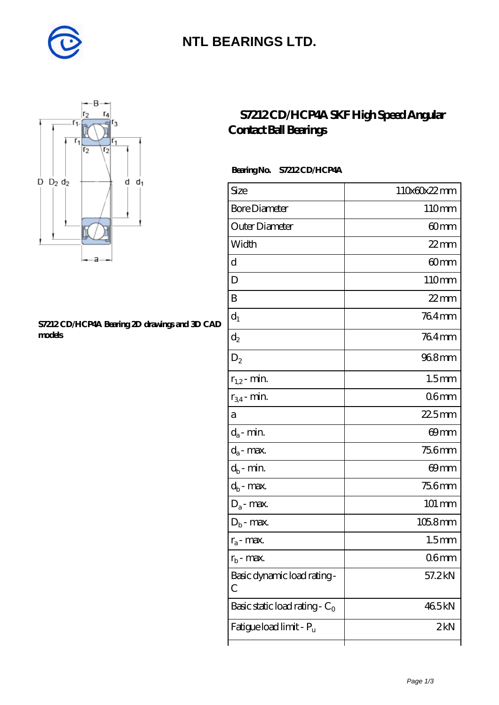

## **[NTL BEARINGS LTD.](https://m.diabetesfriends.net)**



#### **[S7212 CD/HCP4A Bearing 2D drawings and 3D CAD](https://m.diabetesfriends.net/pic-590689.html) [models](https://m.diabetesfriends.net/pic-590689.html)**

### **[S7212 CD/HCP4A SKF High Speed Angular](https://m.diabetesfriends.net/skf-bearing/s7212-cd-hcp4a.html) [Contact Ball Bearings](https://m.diabetesfriends.net/skf-bearing/s7212-cd-hcp4a.html)**

### **Bearing No. S7212 CD/HCP4A**

| Size                             | 110x60x22mm        |
|----------------------------------|--------------------|
| <b>Bore Diameter</b>             | 110mm              |
| Outer Diameter                   | 60mm               |
| Width                            | $22$ mm            |
| d                                | 60mm               |
| D                                | 110mm              |
| B                                | $22$ mm            |
| $d_1$                            | 764mm              |
| $\mathrm{d}_2$                   | 764mm              |
| $D_2$                            | 968mm              |
| $r_{1,2}$ - min.                 | 1.5 <sub>mm</sub>  |
| $r_{34}$ - min.                  | 06 <sub>mm</sub>   |
| а                                | $225$ mm           |
| $d_a$ - min.                     | 69mm               |
| $d_a$ - max.                     | <b>756mm</b>       |
| $d_b$ - min.                     | 69mm               |
| $d_b$ - $\max$                   | 756mm              |
| $D_a$ - max.                     | $101 \, \text{mm}$ |
| $D_b$ - max.                     | $1058$ mm          |
| $r_a$ - max.                     | 1.5 <sub>mm</sub>  |
| $r_{\rm b}$ - max.               | 06mm               |
| Basic dynamic load rating-<br>С  | 57.2kN             |
| Basic static load rating - $C_0$ | 465kN              |
| Fatigue load limit - Pu          | 2kN                |
|                                  |                    |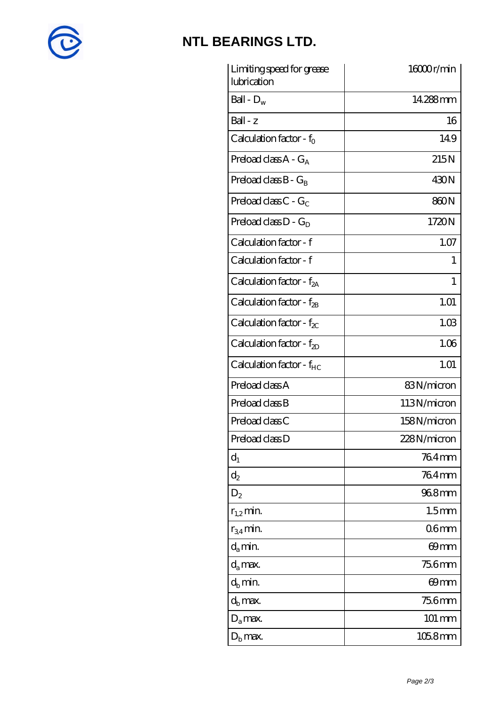

# **[NTL BEARINGS LTD.](https://m.diabetesfriends.net)**

| Limiting speed for grease<br>lubrication | 16000r/min        |
|------------------------------------------|-------------------|
| Ball - $D_w$                             | 14.288mm          |
| $Ball - z$                               | 16                |
| Calculation factor - f <sub>o</sub>      | 149               |
| Preload class $A - G_A$                  | 215N              |
| Preload class $B - G_B$                  | 430N              |
| Preload class C - $G_C$                  | 860N              |
| Preload class $D - G_D$                  | 1720N             |
| Calculation factor - f                   | 1.07              |
| Calculation factor - f                   | 1                 |
| Calculation factor - $f_{2A}$            | 1                 |
| Calculation factor - f <sub>2B</sub>     | 1.01              |
| Calculation factor - $f_{\chi}$          | 1.03              |
| Calculation factor - $f_{2D}$            | 1.06              |
| Calculation factor - f <sub>HC</sub>     | 1.01              |
| Preload class A                          | 83N/micron        |
| Preload class B                          | 113N/micron       |
| Preload class C                          | 158N/micron       |
| Preload class D                          | 228N/micron       |
| $d_1$                                    | 764mm             |
| $\mathrm{d}_2$                           | 764mm             |
| $D_2$                                    | 968mm             |
| $r_{1,2}$ min.                           | 1.5 <sub>mm</sub> |
| $r_{34}$ min.                            | 06 <sub>mm</sub>  |
| $d_a$ min.                               | 69mm              |
| $d_a$ max.                               | 75.6mm            |
| $d_h$ min.                               | 69mm              |
| $d_h$ max.                               | 75.6mm            |
| $D_a$ max.                               | $101 \text{ mm}$  |
| $D_{\rm b}$ max.                         | $1058$ mm         |